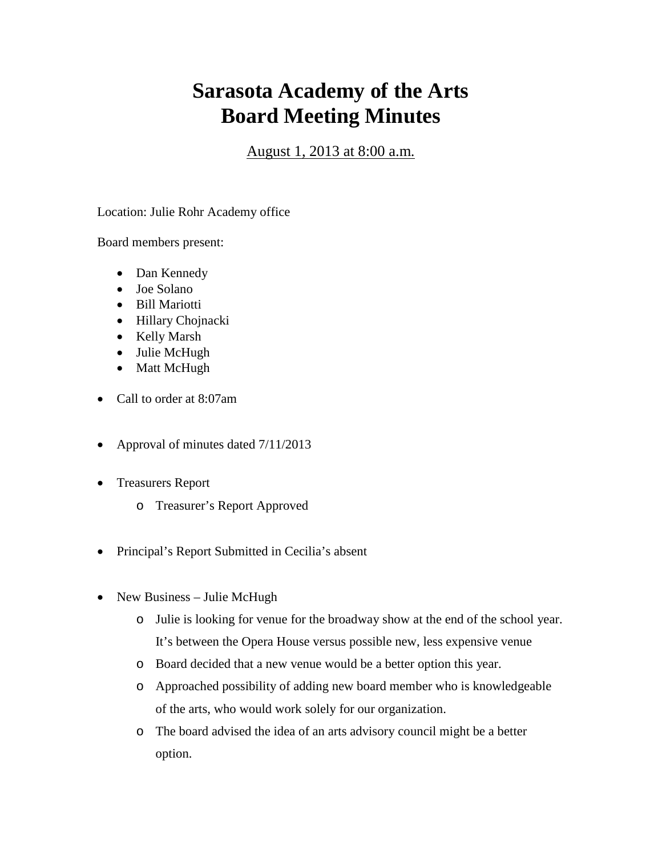## **Sarasota Academy of the Arts Board Meeting Minutes**

August 1, 2013 at 8:00 a.m.

Location: Julie Rohr Academy office

Board members present:

- Dan Kennedy
- Joe Solano
- Bill Mariotti
- Hillary Chojnacki
- Kelly Marsh
- Julie McHugh
- Matt McHugh
- Call to order at 8:07am
- Approval of minutes dated  $7/11/2013$
- Treasurers Report
	- o Treasurer's Report Approved
- Principal's Report Submitted in Cecilia's absent
- New Business Julie McHugh
	- o Julie is looking for venue for the broadway show at the end of the school year. It's between the Opera House versus possible new, less expensive venue
	- o Board decided that a new venue would be a better option this year.
	- o Approached possibility of adding new board member who is knowledgeable of the arts, who would work solely for our organization.
	- o The board advised the idea of an arts advisory council might be a better option.